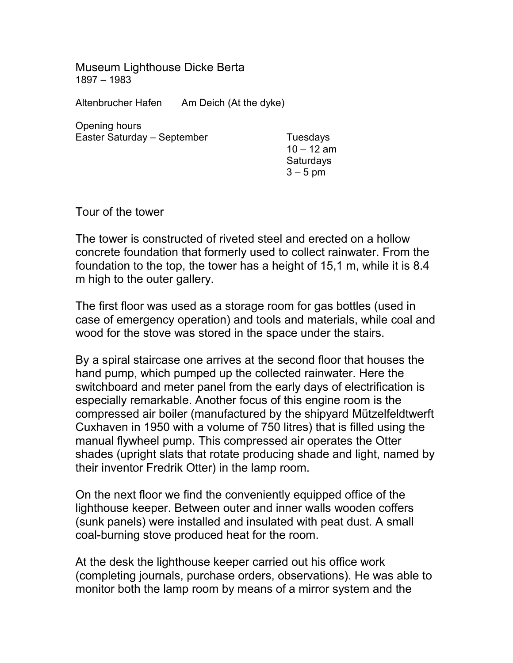Museum Lighthouse Dicke Berta 1897 – 1983

Altenbrucher Hafen Am Deich (At the dyke)

Opening hours Easter Saturday – September Tuesdays

 $10 - 12$  am **Saturdays** 3 – 5 pm

Tour of the tower

The tower is constructed of riveted steel and erected on a hollow concrete foundation that formerly used to collect rainwater. From the foundation to the top, the tower has a height of 15,1 m, while it is 8.4 m high to the outer gallery.

The first floor was used as a storage room for gas bottles (used in case of emergency operation) and tools and materials, while coal and wood for the stove was stored in the space under the stairs.

By a spiral staircase one arrives at the second floor that houses the hand pump, which pumped up the collected rainwater. Here the switchboard and meter panel from the early days of electrification is especially remarkable. Another focus of this engine room is the compressed air boiler (manufactured by the shipyard Mützelfeldtwerft Cuxhaven in 1950 with a volume of 750 litres) that is filled using the manual flywheel pump. This compressed air operates the Otter shades (upright slats that rotate producing shade and light, named by their inventor Fredrik Otter) in the lamp room.

On the next floor we find the conveniently equipped office of the lighthouse keeper. Between outer and inner walls wooden coffers (sunk panels) were installed and insulated with peat dust. A small coal-burning stove produced heat for the room.

At the desk the lighthouse keeper carried out his office work (completing journals, purchase orders, observations). He was able to monitor both the lamp room by means of a mirror system and the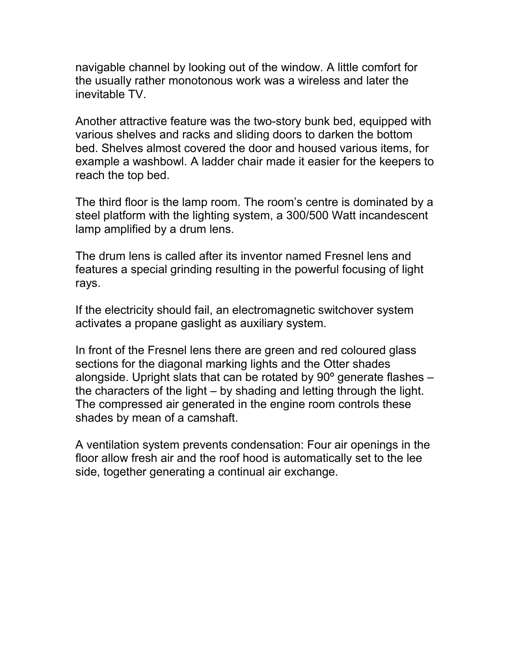navigable channel by looking out of the window. A little comfort for the usually rather monotonous work was a wireless and later the inevitable TV.

Another attractive feature was the two-story bunk bed, equipped with various shelves and racks and sliding doors to darken the bottom bed. Shelves almost covered the door and housed various items, for example a washbowl. A ladder chair made it easier for the keepers to reach the top bed.

The third floor is the lamp room. The room's centre is dominated by a steel platform with the lighting system, a 300/500 Watt incandescent lamp amplified by a drum lens.

The drum lens is called after its inventor named Fresnel lens and features a special grinding resulting in the powerful focusing of light rays.

If the electricity should fail, an electromagnetic switchover system activates a propane gaslight as auxiliary system.

In front of the Fresnel lens there are green and red coloured glass sections for the diagonal marking lights and the Otter shades alongside. Upright slats that can be rotated by 90º generate flashes – the characters of the light – by shading and letting through the light. The compressed air generated in the engine room controls these shades by mean of a camshaft.

A ventilation system prevents condensation: Four air openings in the floor allow fresh air and the roof hood is automatically set to the lee side, together generating a continual air exchange.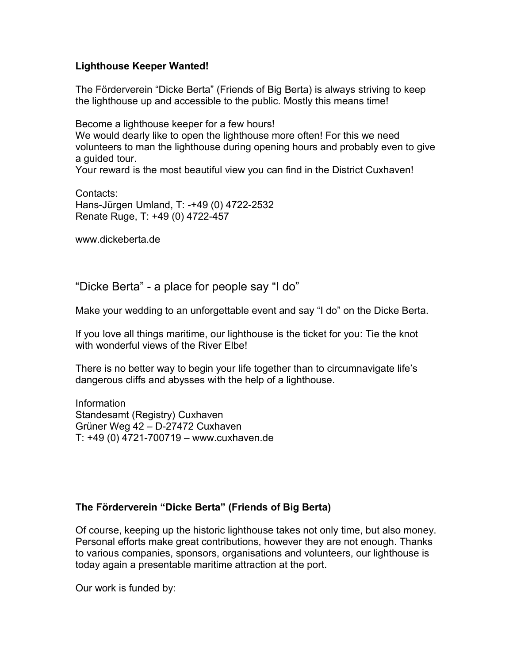## **Lighthouse Keeper Wanted!**

The Förderverein "Dicke Berta" (Friends of Big Berta) is always striving to keep the lighthouse up and accessible to the public. Mostly this means time!

Become a lighthouse keeper for a few hours! We would dearly like to open the lighthouse more often! For this we need volunteers to man the lighthouse during opening hours and probably even to give a guided tour.

Your reward is the most beautiful view you can find in the District Cuxhaven!

Contacts: Hans-Jürgen Umland, T: -+49 (0) 4722-2532 Renate Ruge, T: +49 (0) 4722-457

www.dickeberta.de

"Dicke Berta" - a place for people say "I do"

Make your wedding to an unforgettable event and say "I do" on the Dicke Berta.

If you love all things maritime, our lighthouse is the ticket for you: Tie the knot with wonderful views of the River Elbe!

There is no better way to begin your life together than to circumnavigate life's dangerous cliffs and abysses with the help of a lighthouse.

Information Standesamt (Registry) Cuxhaven Grüner Weg 42 – D-27472 Cuxhaven T: +49 (0) 4721-700719 – www.cuxhaven.de

## **The Förderverein "Dicke Berta" (Friends of Big Berta)**

Of course, keeping up the historic lighthouse takes not only time, but also money. Personal efforts make great contributions, however they are not enough. Thanks to various companies, sponsors, organisations and volunteers, our lighthouse is today again a presentable maritime attraction at the port.

Our work is funded by: